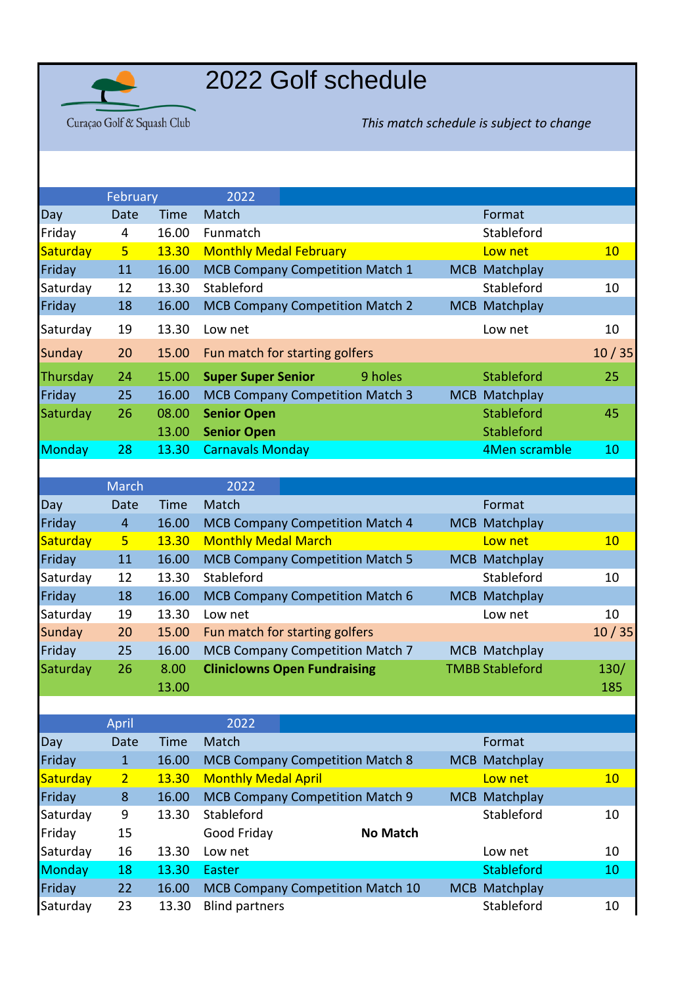

## 2022 Golf schedule

Curaçao Golf & Squash Club

*This match schedule is subject to change*

|                 | February        |       | 2022                                   |         |            |                      |       |
|-----------------|-----------------|-------|----------------------------------------|---------|------------|----------------------|-------|
| Day             | Date            | Time  | Match                                  |         |            | Format               |       |
| Friday          | 4               | 16.00 | Funmatch                               |         |            | Stableford           |       |
| Saturday        | $5\overline{)}$ | 13.30 | <b>Monthly Medal February</b>          |         |            | Low net              | 10    |
| Friday          | 11              | 16.00 | <b>MCB Company Competition Match 1</b> |         |            | <b>MCB Matchplay</b> |       |
| Saturday        | 12              | 13.30 | Stableford                             |         |            | Stableford           | 10    |
| Friday          | 18              | 16.00 | <b>MCB Company Competition Match 2</b> |         |            | MCB Matchplay        |       |
| Saturday        | 19              | 13.30 | Low net                                |         |            | Low net              | 10    |
| Sunday          | 20              | 15.00 | Fun match for starting golfers         |         |            |                      | 10/35 |
| <b>Thursday</b> | 24              | 15.00 | <b>Super Super Senior</b>              | 9 holes |            | <b>Stableford</b>    | 25    |
| Friday          | 25              | 16.00 | <b>MCB Company Competition Match 3</b> |         | <b>MCB</b> | Matchplay            |       |
| Saturday        | 26              | 08.00 | <b>Senior Open</b>                     |         |            | <b>Stableford</b>    | 45    |
|                 |                 | 13.00 | <b>Senior Open</b>                     |         |            | <b>Stableford</b>    |       |
| Monday          | 28              | 13.30 | <b>Carnavals Monday</b>                |         |            | 4Men scramble        | 10    |
|                 |                 |       |                                        |         |            |                      |       |

|               | <b>March</b>   |       | 2022                       |                                         |            |                        |       |
|---------------|----------------|-------|----------------------------|-----------------------------------------|------------|------------------------|-------|
| <b>Day</b>    | Date           | Time  | Match                      |                                         |            | Format                 |       |
| Friday        | $\overline{4}$ | 16.00 |                            | <b>MCB Company Competition Match 4</b>  |            | MCB Matchplay          |       |
| Saturday      | 5 <sup>1</sup> | 13.30 | <b>Monthly Medal March</b> |                                         |            | Low net                | 10    |
| Friday        | 11             | 16.00 |                            | <b>MCB Company Competition Match 5</b>  | <b>MCB</b> | Matchplay              |       |
| Saturday      | 12             | 13.30 | Stableford                 |                                         |            | Stableford             | 10    |
| Friday        | 18             | 16.00 |                            | <b>MCB Company Competition Match 6</b>  | <b>MCB</b> | Matchplay              |       |
| Saturday      | 19             | 13.30 | Low net                    |                                         |            | Low net                | 10    |
| <b>Sunday</b> | 20             | 15.00 |                            | Fun match for starting golfers          |            |                        | 10/35 |
| Friday        | 25             | 16.00 |                            | <b>MCB Company Competition Match 7</b>  |            | MCB Matchplay          |       |
| Saturday      | 26             | 8.00  |                            | <b>Cliniclowns Open Fundraising</b>     |            | <b>TMBB Stableford</b> | 130/  |
|               |                | 13.00 |                            |                                         |            |                        | 185   |
|               |                |       |                            |                                         |            |                        |       |
|               | April          |       | 2022                       |                                         |            |                        |       |
| <b>Day</b>    | Date           | Time  | Match                      |                                         |            | Format                 |       |
| Friday        | $\mathbf{1}$   | 16.00 |                            | <b>MCB Company Competition Match 8</b>  |            | MCB Matchplay          |       |
| Saturday      | $\overline{2}$ | 13.30 | <b>Monthly Medal April</b> |                                         |            | Low net                | 10    |
| Friday        | 8              | 16.00 |                            | MCB Company Competition Match 9         | <b>MCB</b> | Matchplay              |       |
| Saturday      | 9              | 13.30 | Stableford                 |                                         |            | Stableford             | 10    |
| Friday        | 15             |       | Good Friday                | <b>No Match</b>                         |            |                        |       |
| Saturday      | 16             | 13.30 | Low net                    |                                         |            | Low net                | 10    |
| <b>Monday</b> | 18             | 13.30 | Easter                     |                                         |            | Stableford             | 10    |
| Friday        | 22             | 16.00 |                            | <b>MCB Company Competition Match 10</b> |            | MCB Matchplay          |       |
| Saturday      | 23             | 13.30 | <b>Blind partners</b>      |                                         |            | Stableford             | 10    |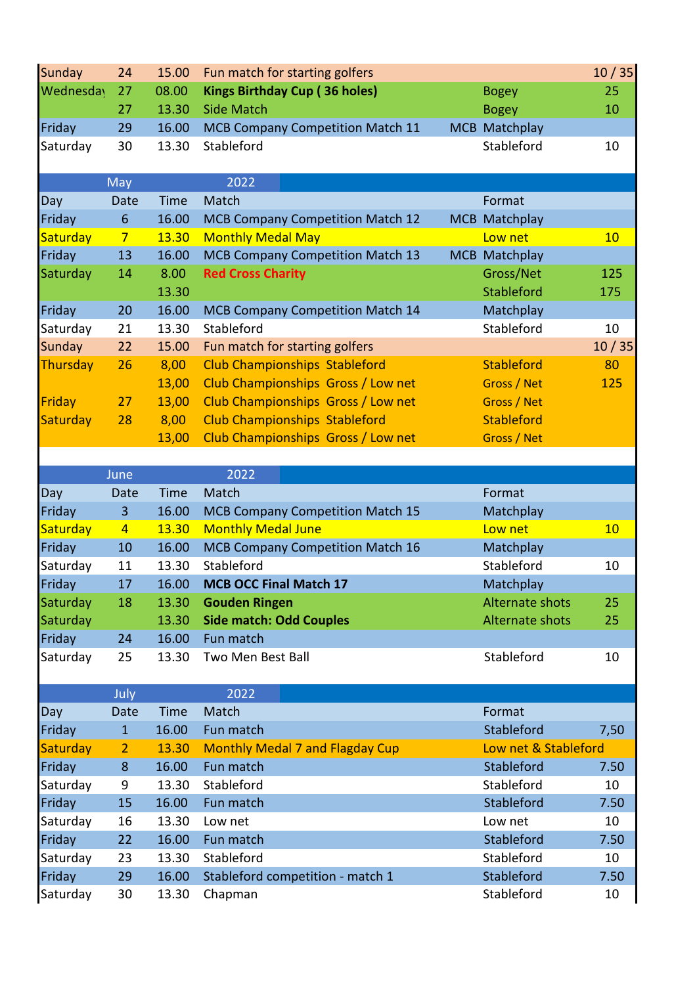| 25<br>10<br>10       |
|----------------------|
|                      |
|                      |
|                      |
|                      |
|                      |
|                      |
|                      |
|                      |
| 10                   |
|                      |
| 125                  |
| 175                  |
|                      |
| 10                   |
| 10/35                |
| 80                   |
| 125                  |
|                      |
|                      |
|                      |
|                      |
|                      |
|                      |
|                      |
|                      |
| 10                   |
|                      |
| 10                   |
|                      |
| 25                   |
| 25                   |
|                      |
| 10                   |
|                      |
|                      |
|                      |
| 7,50                 |
| Low net & Stableford |
| 7.50                 |
| 10                   |
| 7.50                 |
| 10                   |
| 7.50                 |
| 10                   |
| 7.50                 |
|                      |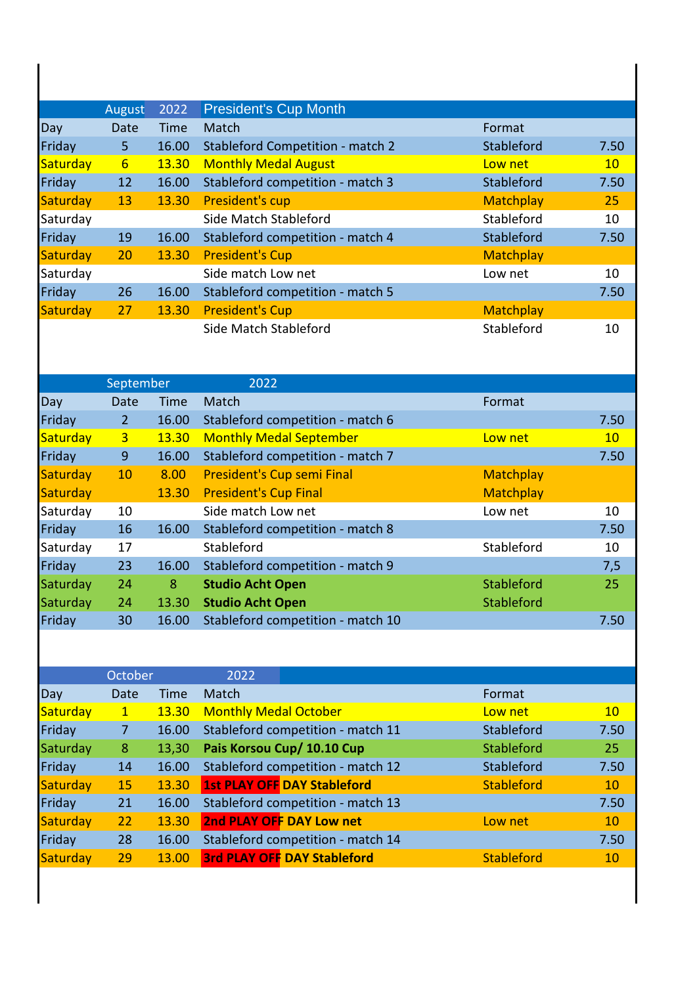|          | August | 2022        | <b>President's Cup Month</b>            |                  |      |
|----------|--------|-------------|-----------------------------------------|------------------|------|
| Day      | Date   | <b>Time</b> | Match                                   | Format           |      |
| Friday   | 5.     | 16.00       | <b>Stableford Competition - match 2</b> | Stableford       | 7.50 |
| Saturday | 6      | 13.30       | <b>Monthly Medal August</b>             | Low net          | 10   |
| Friday   | 12     | 16.00       | Stableford competition - match 3        | Stableford       | 7.50 |
| Saturday | 13     | 13.30       | President's cup                         | <b>Matchplay</b> | 25   |
| Saturday |        |             | Side Match Stableford                   | Stableford       | 10   |
| Friday   | 19     | 16.00       | Stableford competition - match 4        | Stableford       | 7.50 |
| Saturday | 20     | 13.30       | <b>President's Cup</b>                  | <b>Matchplay</b> |      |
| Saturday |        |             | Side match Low net                      | Low net          | 10   |
| Friday   | 26     | 16.00       | Stableford competition - match 5        |                  | 7.50 |
| Saturday | 27     | 13.30       | <b>President's Cup</b>                  | <b>Matchplay</b> |      |
|          |        |             | Side Match Stableford                   | Stableford       | 10   |

|          | September      |       | 2022                              |                  |      |
|----------|----------------|-------|-----------------------------------|------------------|------|
| Day      | Date           | Time  | <b>Match</b>                      | Format           |      |
| Friday   | $\overline{2}$ | 16.00 | Stableford competition - match 6  |                  | 7.50 |
| Saturday | 3 <sup>2</sup> | 13.30 | <b>Monthly Medal September</b>    | Low net          | 10   |
| Friday   | 9              | 16.00 | Stableford competition - match 7  |                  | 7.50 |
| Saturday | 10             | 8.00  | President's Cup semi Final        | <b>Matchplay</b> |      |
| Saturday |                | 13.30 | <b>President's Cup Final</b>      | <b>Matchplay</b> |      |
| Saturday | 10             |       | Side match Low net                | Low net          | 10   |
| Friday   | 16             | 16.00 | Stableford competition - match 8  |                  | 7.50 |
| Saturday | 17             |       | Stableford                        | Stableford       | 10   |
| Friday   | 23             | 16.00 | Stableford competition - match 9  |                  | 7,5  |
| Saturday | 24             | 8     | <b>Studio Acht Open</b>           | Stableford       | 25   |
| Saturday | 24             | 13.30 | <b>Studio Acht Open</b>           | Stableford       |      |
| Friday   | 30             | 16.00 | Stableford competition - match 10 |                  | 7.50 |

|          | October        |       | 2022                         |                                    |                   |      |
|----------|----------------|-------|------------------------------|------------------------------------|-------------------|------|
| Day      | Date           | Time  | <b>Match</b>                 |                                    | Format            |      |
| Saturday | $\mathbf{1}$   | 13.30 | <b>Monthly Medal October</b> |                                    | Low net           | 10   |
| Friday   | $\overline{7}$ | 16.00 |                              | Stableford competition - match 11  | Stableford        | 7.50 |
| Saturday | 8              | 13,30 |                              | Pais Korsou Cup/ 10.10 Cup         | Stableford        | 25   |
| Friday   | 14             | 16.00 |                              | Stableford competition - match 12  | Stableford        | 7.50 |
| Saturday | 15             | 13.30 |                              | <b>1st PLAY OFF DAY Stableford</b> | <b>Stableford</b> | 10   |
| Friday   | 21             | 16.00 |                              | Stableford competition - match 13  |                   | 7.50 |
| Saturday | 22             | 13.30 |                              | 2nd PLAY OFF DAY Low net           | Low net           | 10   |
| Friday   | 28             | 16.00 |                              | Stableford competition - match 14  |                   | 7.50 |
| Saturday | 29             | 13.00 |                              | <b>3rd PLAY OFF DAY Stableford</b> | <b>Stableford</b> | 10   |
|          |                |       |                              |                                    |                   |      |